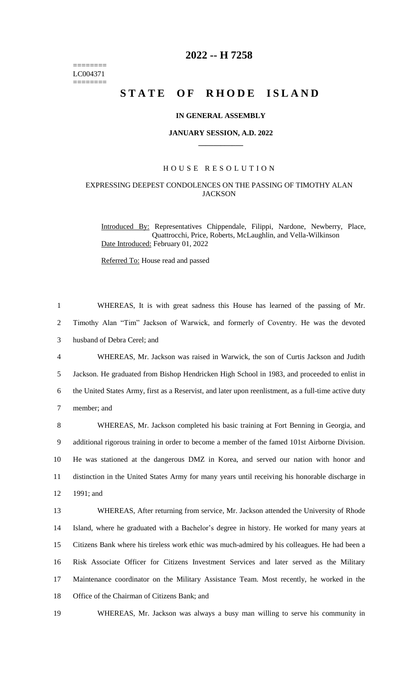======== LC004371 ========

# **2022 -- H 7258**

# STATE OF RHODE ISLAND

### **IN GENERAL ASSEMBLY**

#### **JANUARY SESSION, A.D. 2022 \_\_\_\_\_\_\_\_\_\_\_\_**

# H O U S E R E S O L U T I O N

# EXPRESSING DEEPEST CONDOLENCES ON THE PASSING OF TIMOTHY ALAN **JACKSON**

Introduced By: Representatives Chippendale, Filippi, Nardone, Newberry, Place, Quattrocchi, Price, Roberts, McLaughlin, and Vella-Wilkinson Date Introduced: February 01, 2022

Referred To: House read and passed

 WHEREAS, It is with great sadness this House has learned of the passing of Mr. Timothy Alan "Tim" Jackson of Warwick, and formerly of Coventry. He was the devoted husband of Debra Cerel; and WHEREAS, Mr. Jackson was raised in Warwick, the son of Curtis Jackson and Judith Jackson. He graduated from Bishop Hendricken High School in 1983, and proceeded to enlist in the United States Army, first as a Reservist, and later upon reenlistment, as a full-time active duty member; and WHEREAS, Mr. Jackson completed his basic training at Fort Benning in Georgia, and additional rigorous training in order to become a member of the famed 101st Airborne Division. He was stationed at the dangerous DMZ in Korea, and served our nation with honor and distinction in the United States Army for many years until receiving his honorable discharge in 1991; and WHEREAS, After returning from service, Mr. Jackson attended the University of Rhode Island, where he graduated with a Bachelor's degree in history. He worked for many years at Citizens Bank where his tireless work ethic was much-admired by his colleagues. He had been a Risk Associate Officer for Citizens Investment Services and later served as the Military Maintenance coordinator on the Military Assistance Team. Most recently, he worked in the Office of the Chairman of Citizens Bank; and

19 WHEREAS, Mr. Jackson was always a busy man willing to serve his community in